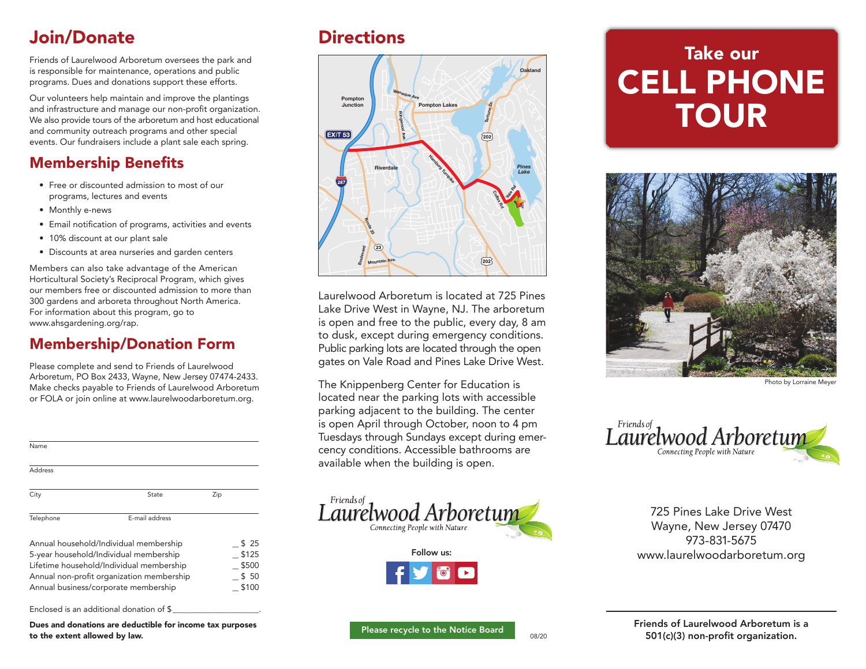## Join/Donate Directions

Friends of Laurelwood Arboretum oversees the park and is responsible for maintenance, operations and public programs. Dues and donations support these efforts.

Our volunteers help maintain and improve the plantings and infrastructure and manage our non-profit organization. We also provide tours of the arboretum and host educational and community outreach programs and other special events. Our fundraisers include a plant sale each spring.

## **Membership Benefits**

- Free or discounted admission to most of our programs, lectures and events
- Monthly e-news
- Email notification of programs, activities and events
- 10% discount at our plant sale
- • Discounts at area nurseries and garden centers

Members can also take advantage of the American Horticultural Society's Reciprocal Program, which gives our members free or discounted admission to more than 300 gardens and arboreta throughout North America. For information about this program, go to www.ahsgardening.org/rap.

### Membership/Donation Form

Please complete and send to Friends of Laurelwood Arboretum, PO Box 2433, Wayne, New Jersey 07474-2433. Make checks payable to Friends of Laurelwood Arboretum or FOLA or join online at www.laurelwoodarboretum.org.

| Name                                                                                                                                                                                                              |                |     |                                         |
|-------------------------------------------------------------------------------------------------------------------------------------------------------------------------------------------------------------------|----------------|-----|-----------------------------------------|
| Address                                                                                                                                                                                                           |                |     |                                         |
| City                                                                                                                                                                                                              | State          | Zip |                                         |
| Telephone                                                                                                                                                                                                         | E-mail address |     |                                         |
| Annual household/Individual membership<br>5-year household/Individual membership<br>Lifetime household/Individual membership<br>Annual non-profit organization membership<br>Annual business/corporate membership |                |     | \$25<br>\$125<br>\$500<br>\$50<br>\$100 |

Enclosed is an additional donation of \$

Dues and donations are deductible for income tax purposes to the extent allowed by law.



Laurelwood Arboretum is located at 725 Pines Lake Drive West in Wayne, NJ. The arboretum is open and free to the public, every day, 8 am to dusk, except during emergency conditions. Public parking lots are located through the open gates on Vale Road and Pines Lake Drive West.

The Knippenberg Center for Education is located near the parking lots with accessible parking adjacent to the building. The center is open April through October, noon to 4 pm Tuesdays through Sundays except during emercency conditions. Accessible bathrooms are available when the building is open.



# Take our CELL PHONE **TOUR**



Photo by Lorraine Meye



725 Pines Lake Drive West Wayne, New Jersey 07470 973-831-5675 www.laurelwoodarboretum.org

Friends of Laurelwood Arboretum is a 501(c)(3) non-profit organization.